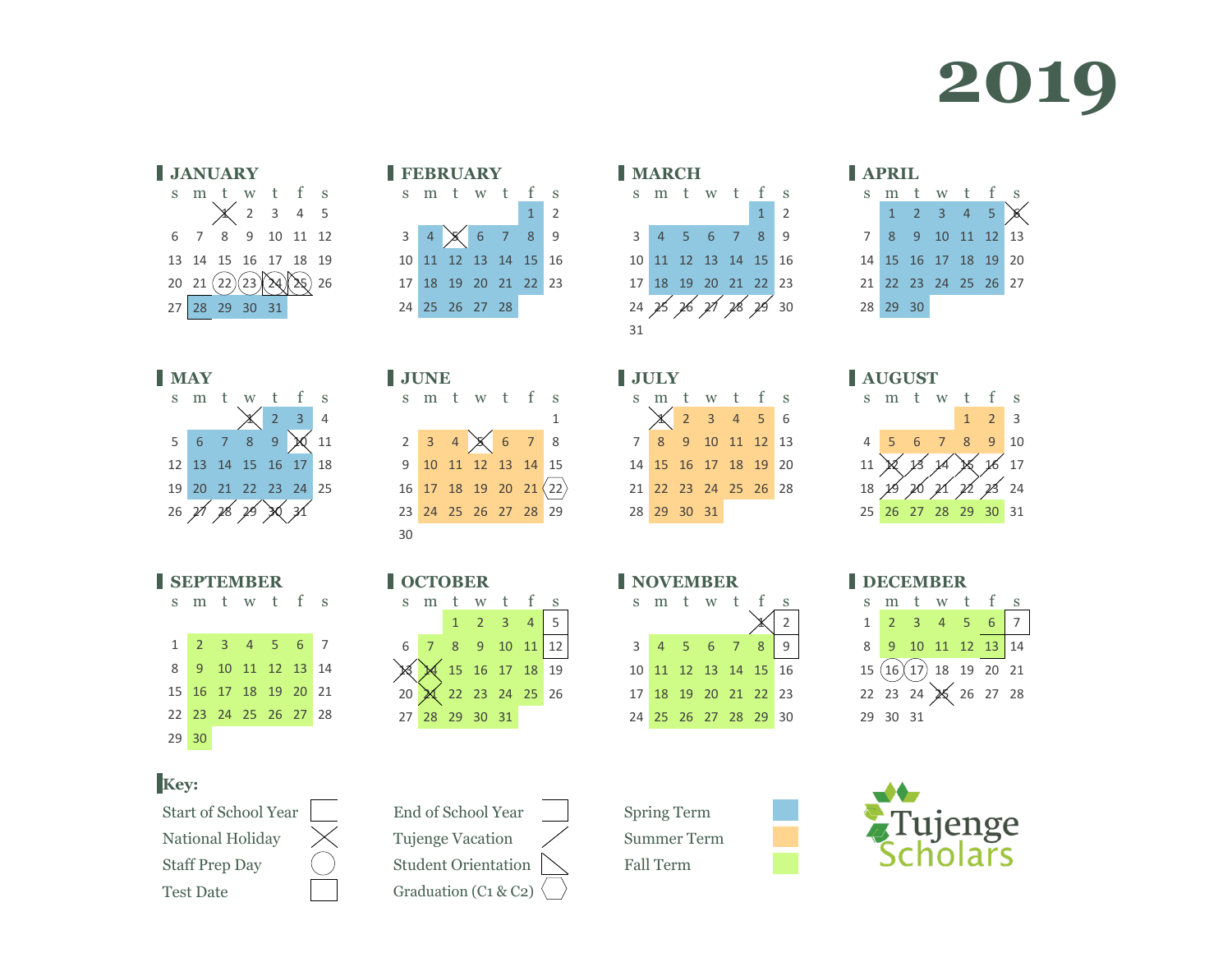







|  | <b>SEPTEMBER</b> |  |  |  |
|--|------------------|--|--|--|
|  | m                |  |  |  |



#### **Key:**

National Holiday  $\chi$  Tujenge Vacation  $\chi$  Summer Term Staff Prep Day  $\left( \begin{array}{ccc} \end{array} \right)$  Student Orientation  $\left( \begin{array}{ccc} \end{array} \right)$  Fall Term Test Date Graduation (C1 & C2)

|                            | <b>FEBRUARY</b> |                      |  |
|----------------------------|-----------------|----------------------|--|
|                            |                 | sm tw tfs            |  |
|                            |                 | $1\quad$             |  |
| $3 \mid 4 \mid \mathsf{X}$ |                 | 6789                 |  |
|                            |                 | 10 11 12 13 14 15 16 |  |
|                            |                 | 17 18 19 20 21 22 23 |  |
|                            | 24 25 26 27 28  |                      |  |
|                            |                 |                      |  |

| <b>MAY</b>              |  |              |                      |    | <b>JUNE</b>                                              |  |  |  | <b>JULY</b> |                            |  |  |  | <b>AUGUST</b> |                     |  |
|-------------------------|--|--------------|----------------------|----|----------------------------------------------------------|--|--|--|-------------|----------------------------|--|--|--|---------------|---------------------|--|
| sm tw tfs               |  |              |                      |    | sm tw t f s                                              |  |  |  | smtwt fs    |                            |  |  |  | s m t         |                     |  |
|                         |  | $\chi$ 2 3 4 |                      |    |                                                          |  |  |  |             | $\chi$ 2 3 4 5 6           |  |  |  |               |                     |  |
| $5$ 6 7 8 9 $\times$ 11 |  |              |                      |    | $2 \quad 3 \quad 4 \quad \times \quad 6 \quad 7 \quad 8$ |  |  |  |             | 7 8 9 10 11 12 13          |  |  |  |               | $4 \quad 5 \quad 6$ |  |
|                         |  |              | 12 13 14 15 16 17 18 |    | 9 10 11 12 13 14 15                                      |  |  |  |             | 14  15  16  17  18  19  20 |  |  |  |               | $11)$ $\times$ $13$ |  |
|                         |  |              | 19 20 21 22 23 24 25 |    | $16$ 17 18 19 20 21 $\langle 22 \rangle$                 |  |  |  |             | 21 22 23 24 25 26 28       |  |  |  |               | 18 29 20            |  |
|                         |  |              |                      |    | 23 24 25 26 27 28 29                                     |  |  |  |             | 28 29 30 31                |  |  |  |               | 25 26 27            |  |
|                         |  |              |                      | 30 |                                                          |  |  |  |             |                            |  |  |  |               |                     |  |

| <b>OCTOBER</b> |                                                                                |  |  |  |                                                                    |  |  |  |  |  |  |  |  |
|----------------|--------------------------------------------------------------------------------|--|--|--|--------------------------------------------------------------------|--|--|--|--|--|--|--|--|
|                | sm tw t f s                                                                    |  |  |  |                                                                    |  |  |  |  |  |  |  |  |
|                |                                                                                |  |  |  | $\begin{array}{ c c c c c c }\n\hline\n1 & 2 & 3 & 4\n\end{array}$ |  |  |  |  |  |  |  |  |
|                | $6\begin{array}{ c c c c c c }\n\hline\n7 & 8 & 9 & 10 & 11 & 12\n\end{array}$ |  |  |  |                                                                    |  |  |  |  |  |  |  |  |
|                |                                                                                |  |  |  | 15 16 17 18 19                                                     |  |  |  |  |  |  |  |  |
|                |                                                                                |  |  |  |                                                                    |  |  |  |  |  |  |  |  |
|                | 27 28 29 30 31                                                                 |  |  |  |                                                                    |  |  |  |  |  |  |  |  |
|                |                                                                                |  |  |  |                                                                    |  |  |  |  |  |  |  |  |

| <b>I MARCH</b> |                      |  |  |  |  |             |  |  |  |  |  |  |  |
|----------------|----------------------|--|--|--|--|-------------|--|--|--|--|--|--|--|
|                | sm tw t f            |  |  |  |  | S           |  |  |  |  |  |  |  |
|                |                      |  |  |  |  | $1 \quad 2$ |  |  |  |  |  |  |  |
|                | 3 4 5 6 7 8 9        |  |  |  |  |             |  |  |  |  |  |  |  |
|                | 10 11 12 13 14 15 16 |  |  |  |  |             |  |  |  |  |  |  |  |
|                | 17 18 19 20 21 22 23 |  |  |  |  |             |  |  |  |  |  |  |  |
|                | 24 25 26 21 28 29 30 |  |  |  |  |             |  |  |  |  |  |  |  |
| 31             |                      |  |  |  |  |             |  |  |  |  |  |  |  |
|                |                      |  |  |  |  |             |  |  |  |  |  |  |  |

| L JULY |                      |  |  |         |  |  |  |  |  |  |  |  |
|--------|----------------------|--|--|---------|--|--|--|--|--|--|--|--|
|        | sm tw t f s          |  |  |         |  |  |  |  |  |  |  |  |
|        |                      |  |  | $23456$ |  |  |  |  |  |  |  |  |
|        | 7 8 9 10 11 12 13    |  |  |         |  |  |  |  |  |  |  |  |
|        | 14 15 16 17 18 19 20 |  |  |         |  |  |  |  |  |  |  |  |
|        | 21 22 23 24 25 26 28 |  |  |         |  |  |  |  |  |  |  |  |
|        | 28 29 30 31          |  |  |         |  |  |  |  |  |  |  |  |

| <b>NOVEMBER</b> |             |  |  |  |                      |  |  |  |  |  |  |  |  |
|-----------------|-------------|--|--|--|----------------------|--|--|--|--|--|--|--|--|
|                 |             |  |  |  | sm tw tfs            |  |  |  |  |  |  |  |  |
|                 |             |  |  |  |                      |  |  |  |  |  |  |  |  |
|                 | 3 4 5 6 7 8 |  |  |  |                      |  |  |  |  |  |  |  |  |
|                 |             |  |  |  | 10 11 12 13 14 15 16 |  |  |  |  |  |  |  |  |
|                 |             |  |  |  | 17 18 19 20 21 22 23 |  |  |  |  |  |  |  |  |
|                 |             |  |  |  | 24 25 26 27 28 29 30 |  |  |  |  |  |  |  |  |

|               |          | 14  15  16  17  18  19  20 |   |                |   |
|---------------|----------|----------------------------|---|----------------|---|
|               |          | 21 22 23 24 25 26 27       |   |                |   |
|               | 28 29 30 |                            |   |                |   |
|               |          |                            |   |                |   |
|               |          |                            |   |                |   |
| <b>AUGUST</b> |          |                            |   |                |   |
| sm tw t f     |          |                            |   |                | S |
|               |          |                            |   |                |   |
|               |          |                            | 1 | $\overline{2}$ | 3 |

s m t w t f s 2 3 4 5 6 8 9 10 11 12 13

| 4 5 6 7 8 9 10                             |  |  |  |
|--------------------------------------------|--|--|--|
| 11 X 13 14 X 16 17<br>18 19 10 11 12 13 24 |  |  |  |
|                                            |  |  |  |
| 25 26 27 28 29 30 31                       |  |  |  |

**NOBER** DECEMBER s m t w t f s 2 3 4 5 6 7 9 10 11 12 13 14  $15 (16)(17) 18 19 20 21$  23 24 25 26 27 28 30 31



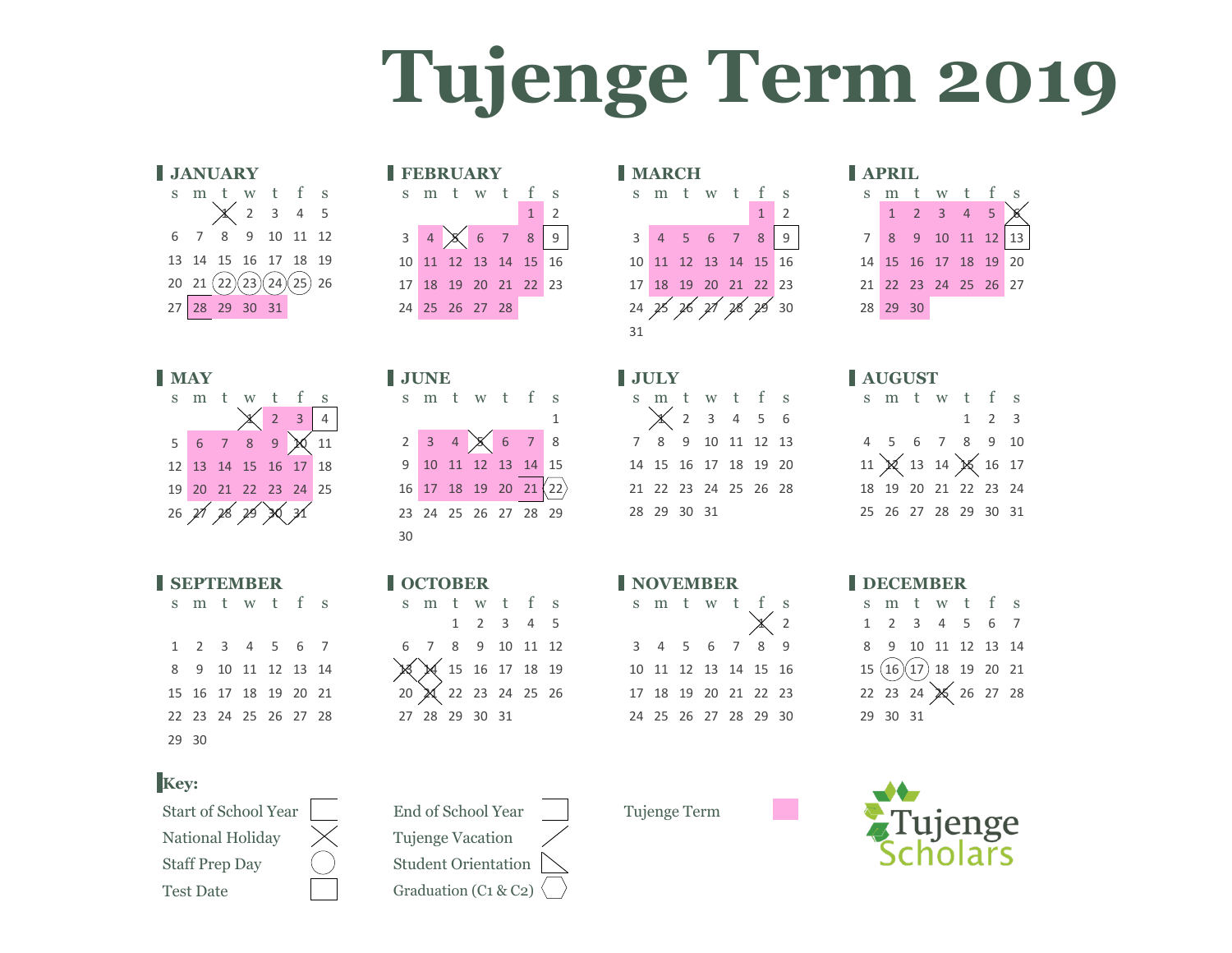# **Tujenge Term 2019**

|     | <b>JANUARY</b> |  |                                                                                                                                   |  |
|-----|----------------|--|-----------------------------------------------------------------------------------------------------------------------------------|--|
|     |                |  |                                                                                                                                   |  |
|     |                |  | $\begin{tabular}{lllllll} \hline s & m & t & w & t & f & s \\ & & \hspace{2.25cm} \times & 2 & 3 & 4 & 5 \\ \hline \end{tabular}$ |  |
|     |                |  | 6 7 8 9 10 11 12                                                                                                                  |  |
|     |                |  | 13  14  15  16  17  18  19                                                                                                        |  |
|     |                |  | $20\quad 21\ (22)(23)(24)(25)\ 26$                                                                                                |  |
|     | 27 28 29 30 31 |  |                                                                                                                                   |  |
|     |                |  |                                                                                                                                   |  |
|     |                |  |                                                                                                                                   |  |
| ИAY |                |  |                                                                                                                                   |  |



| I SEPTEMBER |  |  |  |                      |  |  |  |  |  |  |  |  |  |
|-------------|--|--|--|----------------------|--|--|--|--|--|--|--|--|--|
|             |  |  |  | s m t w t f s        |  |  |  |  |  |  |  |  |  |
|             |  |  |  | 1 2 3 4 5 6 7        |  |  |  |  |  |  |  |  |  |
|             |  |  |  | 8 9 10 11 12 13 14   |  |  |  |  |  |  |  |  |  |
|             |  |  |  | 15 16 17 18 19 20 21 |  |  |  |  |  |  |  |  |  |
|             |  |  |  | 22 23 24 25 26 27 28 |  |  |  |  |  |  |  |  |  |
| 29 30       |  |  |  |                      |  |  |  |  |  |  |  |  |  |
|             |  |  |  |                      |  |  |  |  |  |  |  |  |  |

### **Key:**

Start of School Year End of School Year Tujenge Term National Holiday  $\chi$  Tujenge Vacation Staff Prep Day  $\left( \begin{array}{c} \end{array} \right)$  Student Orientation Test Date Graduation (C1 & C2)

|     | <b>UILIVULLINI</b> |                |                                               |                                                                     | I LEDRULLE                                         |  |                                                          |            |                                        | $\blacksquare$ we set that $\blacksquare$ |                    |  |  |                      |                 |               |       |  |
|-----|--------------------|----------------|-----------------------------------------------|---------------------------------------------------------------------|----------------------------------------------------|--|----------------------------------------------------------|------------|----------------------------------------|-------------------------------------------|--------------------|--|--|----------------------|-----------------|---------------|-------|--|
|     |                    |                | sm tw tfs                                     |                                                                     |                                                    |  | s m t w t f s                                            |            |                                        |                                           | s m t w t f s      |  |  |                      |                 |               | $m$ t |  |
|     |                    |                | $\chi$ 2 3 4 5                                |                                                                     |                                                    |  |                                                          | $1 \mid 2$ |                                        |                                           |                    |  |  | $1\overline{2}$      |                 | $1 \quad 2$   |       |  |
|     |                    |                | 6 7 8 9 10 11 12                              |                                                                     |                                                    |  | $3 \quad 4 \quad \times \quad 6 \quad 7 \quad 8 \quad 9$ |            |                                        |                                           |                    |  |  | 3 4 5 6 7 8 9        |                 | 7 8 9 3       |       |  |
|     |                    |                | 13 14 15 16 17 18 19                          |                                                                     |                                                    |  | 10 11 12 13 14 15 16                                     |            |                                        | 10 11 12 13 14 15 16                      |                    |  |  |                      |                 | 14 15 16      |       |  |
|     |                    |                | $20 \quad 21 \quad (22)(23)(24)(25) \quad 26$ |                                                                     |                                                    |  | 17 18 19 20 21 22 23                                     |            |                                        | 17 18 19 20 21 22 23                      |                    |  |  |                      | 21 22 23        |               |       |  |
|     |                    | 27 28 29 30 31 |                                               |                                                                     | 24 25 26 27 28                                     |  |                                                          |            |                                        |                                           |                    |  |  | 24 25 26 21 28 29 30 |                 | 28 29 30      |       |  |
|     |                    |                |                                               |                                                                     |                                                    |  |                                                          |            |                                        | 31                                        |                    |  |  |                      |                 |               |       |  |
|     |                    |                |                                               |                                                                     |                                                    |  |                                                          |            |                                        |                                           |                    |  |  |                      |                 |               |       |  |
| MAY |                    |                |                                               |                                                                     | <b>JUNE</b>                                        |  |                                                          |            |                                        | JULY <b>SEPTEMBER 1999</b>                |                    |  |  |                      | <b>AUGUST</b>   |               |       |  |
|     |                    |                | sm tw t f s                                   |                                                                     |                                                    |  | s m t w t f s                                            |            |                                        |                                           |                    |  |  | s m t w t f s        |                 | $s$ m $t$     |       |  |
|     |                    |                |                                               | $\begin{array}{ c c c c c }\n\hline\n\text{2} & 3 & 4\n\end{array}$ |                                                    |  |                                                          |            |                                        |                                           | $\times$ 2 3 4 5 6 |  |  |                      |                 |               |       |  |
|     |                    |                | $5 \t6 \t7 \t8 \t9 \t \t20 \t11$              |                                                                     |                                                    |  |                                                          |            | 2 3 4 $\times$ 6 7 8 7 8 9 10 11 12 13 |                                           |                    |  |  |                      |                 | 4 5 6         |       |  |
|     |                    |                | 12 13 14 15 16 17 18                          |                                                                     | 9 10 11 12 13 14 15                                |  |                                                          |            |                                        | 14 15 16 17 18 19 20                      |                    |  |  |                      |                 | 11)(13)       |       |  |
|     |                    |                | 19 20 21 22 23 24 25                          |                                                                     | $16$ 17 18 19 20 21 $\langle 22 \rangle$           |  |                                                          |            |                                        |                                           |                    |  |  | 21 22 23 24 25 26 28 |                 | 18  19  20  2 |       |  |
|     |                    |                | 26 21 28 29 36 31                             |                                                                     |                                                    |  | 23 24 25 26 27 28 29                                     |            |                                        | 28 29 30 31                               |                    |  |  |                      |                 | 25 26 27 2    |       |  |
|     |                    |                |                                               |                                                                     | 30                                                 |  |                                                          |            |                                        |                                           |                    |  |  |                      |                 |               |       |  |
|     |                    |                |                                               |                                                                     |                                                    |  |                                                          |            |                                        |                                           |                    |  |  |                      |                 |               |       |  |
|     | <b>CEDTEMPED</b>   |                |                                               |                                                                     | $\blacksquare$ $\Omega$ $\Omega$ $\Omega$ $\Omega$ |  |                                                          |            |                                        | I NOVEMBED                                |                    |  |  |                      | <b>I</b> DECEME |               |       |  |

| <b>OCTOBER</b> |  |  |                |                                                        |  |  |  |  |  |  |  |  |  |  |
|----------------|--|--|----------------|--------------------------------------------------------|--|--|--|--|--|--|--|--|--|--|
| sm tw t f s    |  |  |                |                                                        |  |  |  |  |  |  |  |  |  |  |
|                |  |  |                | $1 \t2 \t3 \t4 \t5$                                    |  |  |  |  |  |  |  |  |  |  |
|                |  |  |                | 6 7 8 9 10 11 12                                       |  |  |  |  |  |  |  |  |  |  |
|                |  |  |                | $\begin{pmatrix} 15 & 16 & 17 & 18 & 19 \end{pmatrix}$ |  |  |  |  |  |  |  |  |  |  |
| 20             |  |  |                | $\begin{cases} 22 & 23 & 24 & 25 & 26 \end{cases}$     |  |  |  |  |  |  |  |  |  |  |
|                |  |  | 27 28 29 30 31 |                                                        |  |  |  |  |  |  |  |  |  |  |
|                |  |  |                |                                                        |  |  |  |  |  |  |  |  |  |  |

|                 | <b>FEBRUARY</b>                                  |  |             |                 | <b>MARCH</b> |           |                      |                |
|-----------------|--------------------------------------------------|--|-------------|-----------------|--------------|-----------|----------------------|----------------|
|                 | sm tw tfs                                        |  |             |                 |              |           | sm tw tfs            |                |
|                 |                                                  |  | $1 \quad 2$ |                 |              |           | $\mathbf{1}$         | $\overline{z}$ |
|                 | $3 \quad 4 \quad \times \quad 6 \quad 7 \quad 8$ |  | 9           | $\mathbf{3}$    |              | 4 5 6 7 8 |                      | - 9            |
| 10 <sup>1</sup> | 11 12 13 14 15 16                                |  |             | 10 <sup>1</sup> |              |           | 11 12 13 14 15 16    |                |
|                 | 17 18 19 20 21 22 23                             |  |             |                 |              |           | 17 18 19 20 21 22 23 |                |
|                 | 24 25 26 27 28                                   |  |             |                 |              |           | 24 25 26 21 28 29 30 |                |
|                 |                                                  |  |             | 31              |              |           |                      |                |
|                 |                                                  |  |             |                 |              |           |                      |                |

| <b>JULY</b>          |  |  |  |  |  |  |  |  |  |  |  |  |  |
|----------------------|--|--|--|--|--|--|--|--|--|--|--|--|--|
|                      |  |  |  |  |  |  |  |  |  |  |  |  |  |
|                      |  |  |  |  |  |  |  |  |  |  |  |  |  |
| 7 8 9 10 11 12 13    |  |  |  |  |  |  |  |  |  |  |  |  |  |
| 14 15 16 17 18 19 20 |  |  |  |  |  |  |  |  |  |  |  |  |  |
| 21 22 23 24 25 26 28 |  |  |  |  |  |  |  |  |  |  |  |  |  |
| 28 29 30 31          |  |  |  |  |  |  |  |  |  |  |  |  |  |

|  | <b>SEPTEMBER</b>     |  |                      |             |  |  | OCTOBER        |                  |                   |  | NOVEMBER |  |                      |  | DECEMBER                                |  |  |
|--|----------------------|--|----------------------|-------------|--|--|----------------|------------------|-------------------|--|----------|--|----------------------|--|-----------------------------------------|--|--|
|  | sm tw t f s          |  |                      | sm tw t f s |  |  |                |                  |                   |  |          |  | s m t w t f s        |  | smtw                                    |  |  |
|  |                      |  |                      |             |  |  |                | 1 2 3 4 5        |                   |  |          |  |                      |  | $1 \quad 2 \quad 3 \quad 4 \quad ?$     |  |  |
|  |                      |  | 1 2 3 4 5 6 7        |             |  |  |                | 6 7 8 9 10 11 12 |                   |  |          |  | 3 4 5 6 7 8 9        |  | 8 9 10 11 1                             |  |  |
|  |                      |  | 8 9 10 11 12 13 14   |             |  |  |                | X 15 16 17 18 19 |                   |  |          |  | 10 11 12 13 14 15 16 |  | $15\left(16\right)\left(17\right)$ 18 1 |  |  |
|  | 15 16 17 18 19 20 21 |  |                      |             |  |  |                |                  | 20 22 23 24 25 26 |  |          |  | 17 18 19 20 21 22 23 |  | $22 \t23 \t24 \t36 \t2$                 |  |  |
|  |                      |  | 22 23 24 25 26 27 28 |             |  |  | 27 28 29 30 31 |                  |                   |  |          |  | 24 25 26 27 28 29 30 |  | 29 30 31                                |  |  |

| APRIL    |  |                                                            |  |  |  |  |  |  |  |  |  |  |  |  |
|----------|--|------------------------------------------------------------|--|--|--|--|--|--|--|--|--|--|--|--|
|          |  | sm tw t f s                                                |  |  |  |  |  |  |  |  |  |  |  |  |
|          |  | $\begin{array}{ccccccccc}\n1 & 2 & 3 & 4 & 5\n\end{array}$ |  |  |  |  |  |  |  |  |  |  |  |  |
|          |  | 7 8 9 10 11 12 13                                          |  |  |  |  |  |  |  |  |  |  |  |  |
|          |  | 14  15  16  17  18  19  20                                 |  |  |  |  |  |  |  |  |  |  |  |  |
|          |  | 21 22 23 24 25 26 27                                       |  |  |  |  |  |  |  |  |  |  |  |  |
| 28 29 30 |  |                                                            |  |  |  |  |  |  |  |  |  |  |  |  |

| <b>AUGUST</b> |  |  |  |                      |                     |  |  |  |  |  |  |  |  |  |
|---------------|--|--|--|----------------------|---------------------|--|--|--|--|--|--|--|--|--|
|               |  |  |  | sm tw t f s          |                     |  |  |  |  |  |  |  |  |  |
|               |  |  |  |                      | $1 \quad 2 \quad 3$ |  |  |  |  |  |  |  |  |  |
|               |  |  |  | 4 5 6 7 8 9 10       |                     |  |  |  |  |  |  |  |  |  |
|               |  |  |  | 11 X 13 14 X 16 17   |                     |  |  |  |  |  |  |  |  |  |
|               |  |  |  | 18 19 20 21 22 23 24 |                     |  |  |  |  |  |  |  |  |  |
|               |  |  |  | 25 26 27 28 29 30 31 |                     |  |  |  |  |  |  |  |  |  |

|  | sm tw t f s                          |  |  |  |
|--|--------------------------------------|--|--|--|
|  | 1 2 3 4 5 6 7                        |  |  |  |
|  | 8 9 10 11 12 13 14                   |  |  |  |
|  | $15\ (16)(17)$ 18 19 20 21           |  |  |  |
|  | $22\ 23\ 24 \ \times \ \ 26\ 27\ 28$ |  |  |  |
|  | 29 30 31                             |  |  |  |